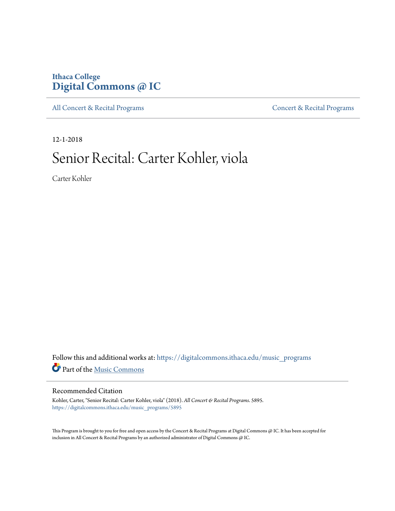## **Ithaca College [Digital Commons @ IC](https://digitalcommons.ithaca.edu/?utm_source=digitalcommons.ithaca.edu%2Fmusic_programs%2F5895&utm_medium=PDF&utm_campaign=PDFCoverPages)**

[All Concert & Recital Programs](https://digitalcommons.ithaca.edu/music_programs?utm_source=digitalcommons.ithaca.edu%2Fmusic_programs%2F5895&utm_medium=PDF&utm_campaign=PDFCoverPages) **[Concert & Recital Programs](https://digitalcommons.ithaca.edu/som_programs?utm_source=digitalcommons.ithaca.edu%2Fmusic_programs%2F5895&utm_medium=PDF&utm_campaign=PDFCoverPages)** 

12-1-2018

# Senior Recital: Carter Kohler, viola

Carter Kohler

 ${\bf Follow~this~and~additional~works~at:~https://digitalcommons.ithaca.edu/music\_programs}$ Part of the [Music Commons](http://network.bepress.com/hgg/discipline/518?utm_source=digitalcommons.ithaca.edu%2Fmusic_programs%2F5895&utm_medium=PDF&utm_campaign=PDFCoverPages)

#### Recommended Citation

Kohler, Carter, "Senior Recital: Carter Kohler, viola" (2018). *All Concert & Recital Programs*. 5895. [https://digitalcommons.ithaca.edu/music\\_programs/5895](https://digitalcommons.ithaca.edu/music_programs/5895?utm_source=digitalcommons.ithaca.edu%2Fmusic_programs%2F5895&utm_medium=PDF&utm_campaign=PDFCoverPages)

This Program is brought to you for free and open access by the Concert & Recital Programs at Digital Commons @ IC. It has been accepted for inclusion in All Concert & Recital Programs by an authorized administrator of Digital Commons @ IC.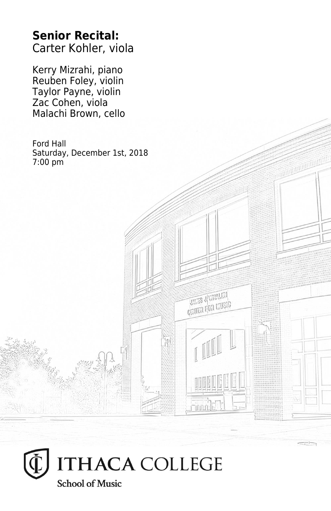